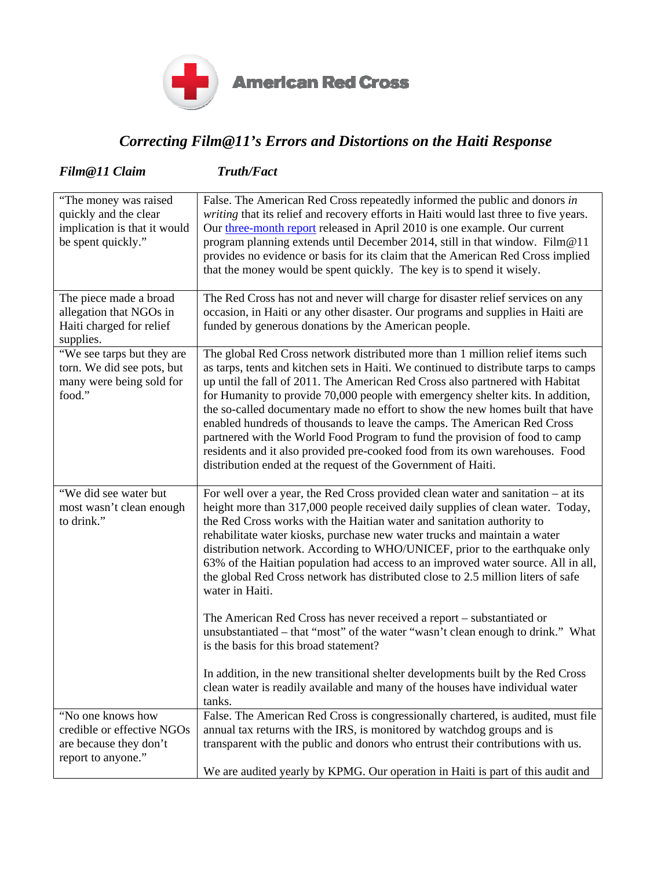

**American Red Cross** 

## *Correcting Film@11's Errors and Distortions on the Haiti Response*

| Film@11 Claim                                                                                        | <b>Truth/Fact</b>                                                                                                                                                                                                                                                                                                                                                                                                                                                                                                                                                                                                                                                                                                                                                                                                                                                                              |
|------------------------------------------------------------------------------------------------------|------------------------------------------------------------------------------------------------------------------------------------------------------------------------------------------------------------------------------------------------------------------------------------------------------------------------------------------------------------------------------------------------------------------------------------------------------------------------------------------------------------------------------------------------------------------------------------------------------------------------------------------------------------------------------------------------------------------------------------------------------------------------------------------------------------------------------------------------------------------------------------------------|
| "The money was raised<br>quickly and the clear<br>implication is that it would<br>be spent quickly." | False. The American Red Cross repeatedly informed the public and donors in<br>writing that its relief and recovery efforts in Haiti would last three to five years.<br>Our three-month report released in April 2010 is one example. Our current<br>program planning extends until December 2014, still in that window. Film@11<br>provides no evidence or basis for its claim that the American Red Cross implied<br>that the money would be spent quickly. The key is to spend it wisely.                                                                                                                                                                                                                                                                                                                                                                                                    |
| The piece made a broad<br>allegation that NGOs in<br>Haiti charged for relief<br>supplies.           | The Red Cross has not and never will charge for disaster relief services on any<br>occasion, in Haiti or any other disaster. Our programs and supplies in Haiti are<br>funded by generous donations by the American people.                                                                                                                                                                                                                                                                                                                                                                                                                                                                                                                                                                                                                                                                    |
| "We see tarps but they are<br>torn. We did see pots, but<br>many were being sold for<br>food."       | The global Red Cross network distributed more than 1 million relief items such<br>as tarps, tents and kitchen sets in Haiti. We continued to distribute tarps to camps<br>up until the fall of 2011. The American Red Cross also partnered with Habitat<br>for Humanity to provide 70,000 people with emergency shelter kits. In addition,<br>the so-called documentary made no effort to show the new homes built that have<br>enabled hundreds of thousands to leave the camps. The American Red Cross<br>partnered with the World Food Program to fund the provision of food to camp<br>residents and it also provided pre-cooked food from its own warehouses. Food<br>distribution ended at the request of the Government of Haiti.                                                                                                                                                       |
| "We did see water but<br>most wasn't clean enough<br>to drink."                                      | For well over a year, the Red Cross provided clean water and sanitation – at its<br>height more than 317,000 people received daily supplies of clean water. Today,<br>the Red Cross works with the Haitian water and sanitation authority to<br>rehabilitate water kiosks, purchase new water trucks and maintain a water<br>distribution network. According to WHO/UNICEF, prior to the earthquake only<br>63% of the Haitian population had access to an improved water source. All in all,<br>the global Red Cross network has distributed close to 2.5 million liters of safe<br>water in Haiti.<br>The American Red Cross has never received a report – substantiated or<br>unsubstantiated – that "most" of the water "wasn't clean enough to drink." What<br>is the basis for this broad statement?<br>In addition, in the new transitional shelter developments built by the Red Cross |
|                                                                                                      | clean water is readily available and many of the houses have individual water<br>tanks.                                                                                                                                                                                                                                                                                                                                                                                                                                                                                                                                                                                                                                                                                                                                                                                                        |
| "No one knows how<br>credible or effective NGOs<br>are because they don't<br>report to anyone."      | False. The American Red Cross is congressionally chartered, is audited, must file<br>annual tax returns with the IRS, is monitored by watchdog groups and is<br>transparent with the public and donors who entrust their contributions with us.                                                                                                                                                                                                                                                                                                                                                                                                                                                                                                                                                                                                                                                |
|                                                                                                      | We are audited yearly by KPMG. Our operation in Haiti is part of this audit and                                                                                                                                                                                                                                                                                                                                                                                                                                                                                                                                                                                                                                                                                                                                                                                                                |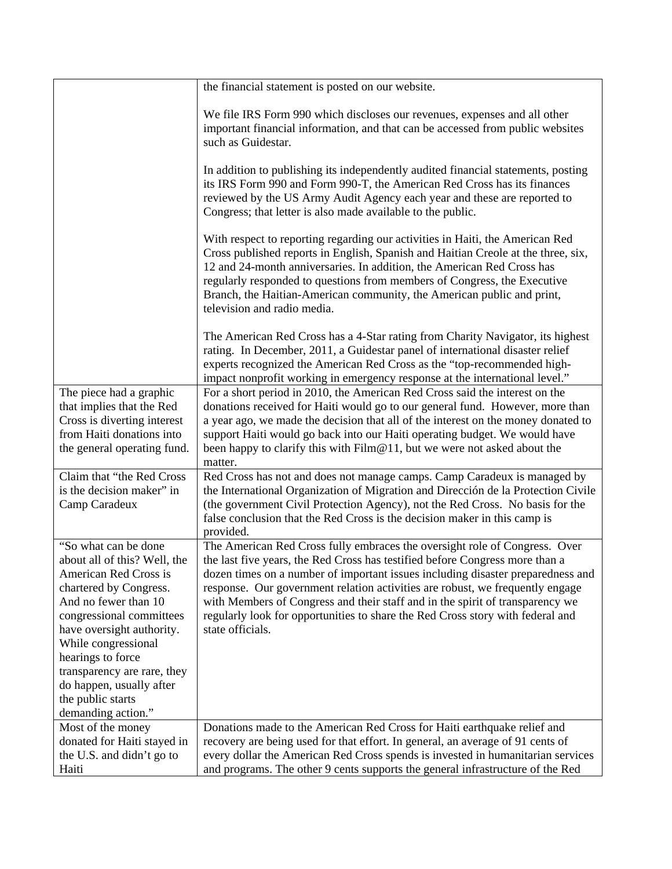|                                                                                                                                                                                                                                                                                                                                            | the financial statement is posted on our website.                                                                                                                                                                                                                                                                                                                                                                                                                                                                     |
|--------------------------------------------------------------------------------------------------------------------------------------------------------------------------------------------------------------------------------------------------------------------------------------------------------------------------------------------|-----------------------------------------------------------------------------------------------------------------------------------------------------------------------------------------------------------------------------------------------------------------------------------------------------------------------------------------------------------------------------------------------------------------------------------------------------------------------------------------------------------------------|
|                                                                                                                                                                                                                                                                                                                                            | We file IRS Form 990 which discloses our revenues, expenses and all other<br>important financial information, and that can be accessed from public websites<br>such as Guidestar.                                                                                                                                                                                                                                                                                                                                     |
|                                                                                                                                                                                                                                                                                                                                            | In addition to publishing its independently audited financial statements, posting<br>its IRS Form 990 and Form 990-T, the American Red Cross has its finances<br>reviewed by the US Army Audit Agency each year and these are reported to<br>Congress; that letter is also made available to the public.                                                                                                                                                                                                              |
|                                                                                                                                                                                                                                                                                                                                            | With respect to reporting regarding our activities in Haiti, the American Red<br>Cross published reports in English, Spanish and Haitian Creole at the three, six,<br>12 and 24-month anniversaries. In addition, the American Red Cross has<br>regularly responded to questions from members of Congress, the Executive<br>Branch, the Haitian-American community, the American public and print,<br>television and radio media.                                                                                     |
|                                                                                                                                                                                                                                                                                                                                            | The American Red Cross has a 4-Star rating from Charity Navigator, its highest<br>rating. In December, 2011, a Guidestar panel of international disaster relief<br>experts recognized the American Red Cross as the "top-recommended high-<br>impact nonprofit working in emergency response at the international level."                                                                                                                                                                                             |
| The piece had a graphic<br>that implies that the Red<br>Cross is diverting interest<br>from Haiti donations into<br>the general operating fund.                                                                                                                                                                                            | For a short period in 2010, the American Red Cross said the interest on the<br>donations received for Haiti would go to our general fund. However, more than<br>a year ago, we made the decision that all of the interest on the money donated to<br>support Haiti would go back into our Haiti operating budget. We would have<br>been happy to clarify this with Film@11, but we were not asked about the<br>matter.                                                                                                |
| Claim that "the Red Cross<br>is the decision maker" in<br>Camp Caradeux                                                                                                                                                                                                                                                                    | Red Cross has not and does not manage camps. Camp Caradeux is managed by<br>the International Organization of Migration and Dirección de la Protection Civile<br>(the government Civil Protection Agency), not the Red Cross. No basis for the<br>false conclusion that the Red Cross is the decision maker in this camp is<br>provided.                                                                                                                                                                              |
| "So what can be done<br>about all of this? Well, the<br>American Red Cross is<br>chartered by Congress.<br>And no fewer than 10<br>congressional committees<br>have oversight authority.<br>While congressional<br>hearings to force<br>transparency are rare, they<br>do happen, usually after<br>the public starts<br>demanding action." | The American Red Cross fully embraces the oversight role of Congress. Over<br>the last five years, the Red Cross has testified before Congress more than a<br>dozen times on a number of important issues including disaster preparedness and<br>response. Our government relation activities are robust, we frequently engage<br>with Members of Congress and their staff and in the spirit of transparency we<br>regularly look for opportunities to share the Red Cross story with federal and<br>state officials. |
| Most of the money<br>donated for Haiti stayed in<br>the U.S. and didn't go to<br>Haiti                                                                                                                                                                                                                                                     | Donations made to the American Red Cross for Haiti earthquake relief and<br>recovery are being used for that effort. In general, an average of 91 cents of<br>every dollar the American Red Cross spends is invested in humanitarian services<br>and programs. The other 9 cents supports the general infrastructure of the Red                                                                                                                                                                                       |